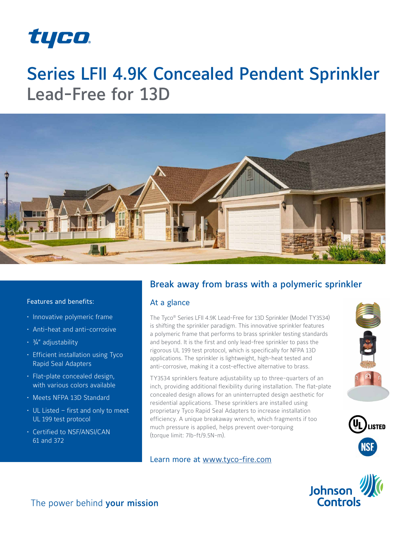

# Series LFII 4.9K Concealed Pendent Sprinkler Lead-Free for 13D



#### Features and benefits:

- Innovative polymeric frame
- Anti-heat and anti-corrosive
- $\cdot$   $\frac{3}{4}$ " adjustability
- Efficient installation using Tyco Rapid Seal Adapters
- Flat-plate concealed design, with various colors available
- Meets NFPA 13D Standard
- UL Listed first and only to meet UL 199 test protocol
- Certified to NSF/ANSI/CAN 61 and 372

# Break away from brass with a polymeric sprinkler

### At a glance

The Tyco® Series LFII 4.9K Lead-Free for 13D Sprinkler (Model TY3534) is shifting the sprinkler paradigm. This innovative sprinkler features a polymeric frame that performs to brass sprinkler testing standards and beyond. It is the first and only lead-free sprinkler to pass the rigorous UL 199 test protocol, which is specifically for NFPA 13D applications. The sprinkler is lightweight, high-heat tested and anti-corrosive, making it a cost-effective alternative to brass.

TY3534 sprinklers feature adjustability up to three-quarters of an inch, providing additional flexibility during installation. The flat-plate concealed design allows for an uninterrupted design aesthetic for residential applications. These sprinklers are installed using proprietary Tyco Rapid Seal Adapters to increase installation efficiency. A unique breakaway wrench, which fragments if too much pressure is applied, helps prevent over-torquing (torque limit: 7lb-ft/9.5N-m).

### Learn more at www.tyco-fire.com